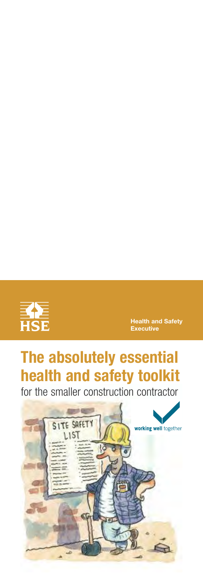

**Health and Safety Executive** 

# **The absolutely essential health and safety toolkit**

for the smaller construction contractor

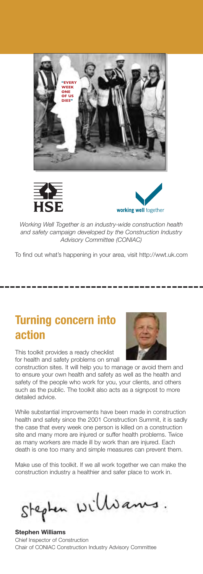





*Working Well Together is an industrywide construction health and safety campaign developed by the Construction Industry Advisory Committee (CONIAC)*

To find out what's happening in your area, visit http://wwt.uk.com

### **Turning concern into action**

This toolkit provides a ready checklist for health and safety problems on small

construction sites. It will help you to manage or avoid them and to ensure your own health and safety as well as the health and safety of the people who work for you, your clients, and others such as the public. The toolkit also acts as a signpost to more detailed advice.

While substantial improvements have been made in construction health and safety since the 2001 Construction Summit, it is sadly the case that every week one person is killed on a construction site and many more are injured or suffer health problems. Twice as many workers are made ill by work than are injured. Each death is one too many and simple measures can prevent them.

Make use of this toolkit. If we all work together we can make the construction industry a healthier and safer place to work in.

Stepten Willsams

**Stephen Williams**  Chief Inspector of Construction Chair of CONIAC Construction Industry Advisory Committee

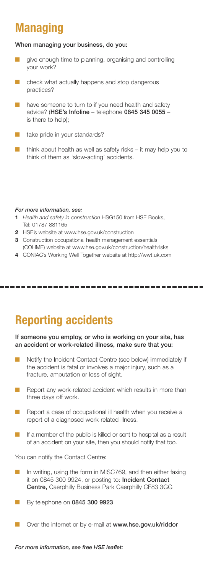### **Managing**

#### **When managing your business, do you:**

- give enough time to planning, organising and controlling your work?
- check what actually happens and stop dangerous practices?
- have someone to turn to if you need health and safety advice? (**HSE's Infoline** – telephone **0845 345 0055** – is there to help);
- take pride in your standards?
- $\blacksquare$  think about health as well as safety risks it may help you to think of them as 'slow-acting' accidents.

#### *For more information, see:*

- **1** *Health and safety in construction* HSG150 from HSE Books, Tel: 01787 881165
- **2** HSE's website at www.hse.gov.uk/construction
- **3** Construction occupational health management essentials (COHME) website at www.hse.gov.uk/construction/healthrisks
- **4** CONIAC's Working Well Together website at http://wwt.uk.com

### **Reporting accidents**

#### **If someone you employ, or who is working on your site, has an accident or workrelated illness, make sure that you:**

- Notify the Incident Contact Centre (see below) immediately if the accident is fatal or involves a major injury, such as a fracture, amputation or loss of sight.
- Report any work-related accident which results in more than three days off work.
- Report a case of occupational ill health when you receive a report of a diagnosed work-related illness.
- If a member of the public is killed or sent to hospital as a result of an accident on your site, then you should notify that too.

You can notify the Contact Centre:

- In writing, using the form in MISC769, and then either faxing it on 0845 300 9924, or posting to: **Incident Contact Centre,** Caerphilly Business Park Caerphilly CF83 3GG
- By telephone on **0845 300 9923**
- Over the internet or by e-mail at www.hse.gov.uk/riddor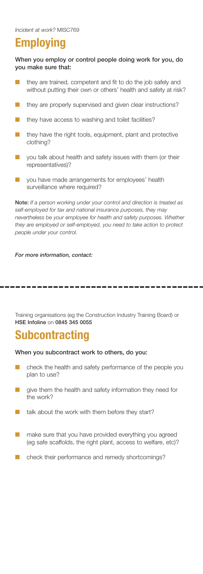#### **Employing**

**When you employ or control people doing work for you, do you make sure that:**

- they are trained, competent and fit to do the job safely and without putting their own or others' health and safety at risk?
- they are properly supervised and given clear instructions?
- they have access to washing and toilet facilities?
- they have the right tools, equipment, plant and protective clothing?
- you talk about health and safety issues with them (or their representatives)?
- you have made arrangements for employees' health surveillance where required?

**Note:** *If a person working under your control and direction is treated as selfemployed for tax and national insurance purposes, they may nevertheless be your employee for health and safety purposes. Whether they are employed or selfemployed, you need to take action to protect people under your control.*

*For more information, contact:* 

Training organisations (eg the Construction Industry Training Board) or **HSE Infoline** on **0845 345 0055**

#### **Subcontracting**

#### **When you subcontract work to others, do you:**

- check the health and safety performance of the people you plan to use?
- give them the health and safety information they need for the work?
- talk about the work with them before they start?
- make sure that you have provided everything you agreed (eg safe scaffolds, the right plant, access to welfare, etc)?
- check their performance and remedy shortcomings?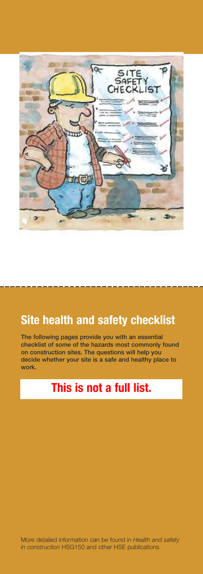

### **Site health and safety checklist**

**i** The following pages provide you with an essential **li l check st of some of the hazards most common y found on** construction sites. The questions will help you **i i i l l dec de whether your s te s a safe and hea thy p ace to work.**

#### **in** This is not a full list.

More detailed information can be found in Health and safety in construction HSG150 and other HSE publications.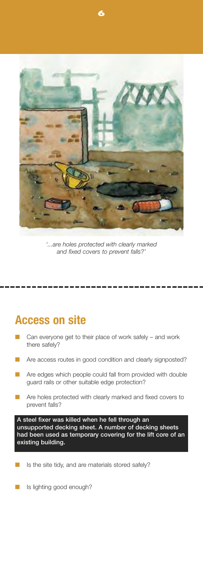

**6** 

*'...are holes protected with clearly marked and fixed covers to prevent falls?'*

#### **Access on site**

- Can everyone get to their place of work safely and work there safely?
- Are access routes in good condition and clearly signposted?
- Are edges which people could fall from provided with double guard rails or other suitable edge protection?
- Are holes protected with clearly marked and fixed covers to prevent falls?

*A* steel fixer was killed when he fell through an **i i unsupported deck ng sheet. A number of deck ng sheets had** been used as temporary covering for the lift core of an existing building.

- Is the site tidy, and are materials stored safely?
- Is lighting good enough?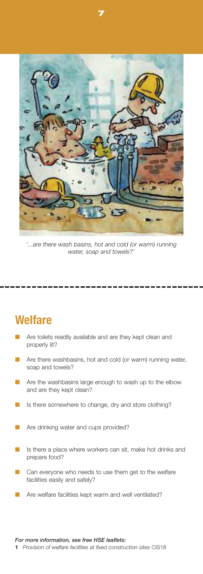

**7** 

*'...are there wash basins, hot and cold (or warm) running water, soap and towels?'*

#### **Welfare**

- Are toilets readily available and are they kept clean and properly lit?
- Are there washbasins, hot and cold (or warm) running water, soap and towels?
- Are the washbasins large enough to wash up to the elbow and are they kept clean?
- Is there somewhere to change, dry and store clothing?
- Are drinking water and cups provided?
- Is there a place where workers can sit, make hot drinks and prepare food?
- Can everyone who needs to use them get to the welfare facilities easily and safely?
- Are welfare facilities kept warm and well ventilated?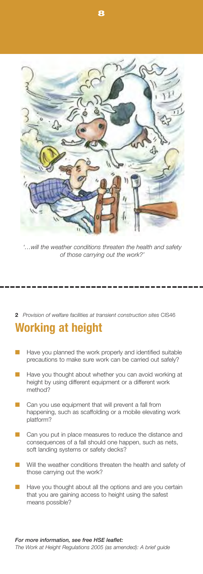

*'…will the weather conditions threaten the health and safety of those carrying out the work?'*

**2** *Provision of welfare facilities at transient construction sites* CIS46

#### **Working at height**

- Have you planned the work properly and identified suitable precautions to make sure work can be carried out safely?
- Have you thought about whether you can avoid working at height by using different equipment or a different work method?
- Can you use equipment that will prevent a fall from happening, such as scaffolding or a mobile elevating work platform?
- Can you put in place measures to reduce the distance and consequences of a fall should one happen, such as nets, soft landing systems or safety decks?
- Will the weather conditions threaten the health and safety of those carrying out the work?
- Have you thought about all the options and are you certain that you are gaining access to height using the safest means possible?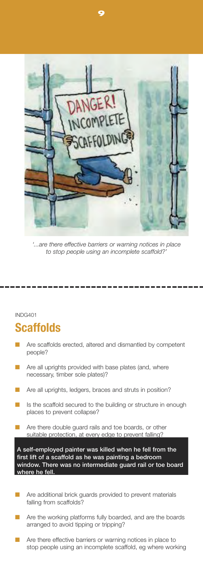

**9** 

*'...are there effective barriers or warning notices in place to stop people using an incomplete scaffold?'*

#### INDG401

#### **Scaffolds**

- Are scaffolds erected, altered and dismantled by competent people?
- Are all uprights provided with base plates (and, where necessary, timber sole plates)?
- Are all uprights, ledgers, braces and struts in position?
- Is the scaffold secured to the building or structure in enough places to prevent collapse?
- Are there double guard rails and toe boards, or other suitable protection, at every edge to prevent falling?

**l l i ll A se femp oyed pa nter was killed when he fe from the li l i first ft of a scaffo d as he was pa nting a bedroom wi i i il ndow. There was no ntermed ate guard ra or toe board ll. where he fe**

- Are additional brick guards provided to prevent materials falling from scaffolds?
- Are the working platforms fully boarded, and are the boards arranged to avoid tipping or tripping?
- Are there effective barriers or warning notices in place to stop people using an incomplete scaffold, eg where working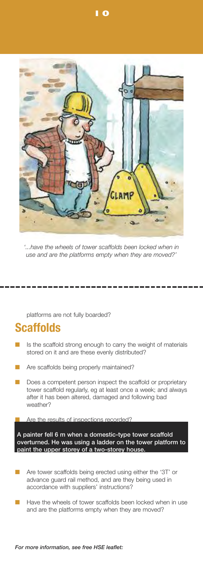

*'...have the wheels of tower scaffolds been locked when in use and are the platforms empty when they are moved?'*

platforms are not fully boarded?

### **Scaffolds**

- Is the scaffold strong enough to carry the weight of materials stored on it and are these evenly distributed?
- Are scaffolds being properly maintained?
- Does a competent person inspect the scaffold or proprietary tower scaffold regularly, eg at least once a week; and always after it has been altered, damaged and following bad weather?

**E** Are the results of inspections recorded?

**i A** painter fell 6 m when a domestic-type tower scaffold **i l l overturned. He was us ng a adder on the tower p atform to paint the upper storey of a twostorey house.**

- Are tower scaffolds being erected using either the '3T' or advance guard rail method, and are they being used in accordance with suppliers' instructions?
- Have the wheels of tower scaffolds been locked when in use and are the platforms empty when they are moved?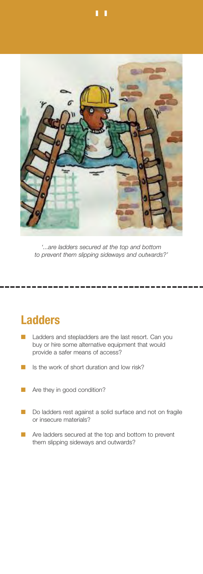

*'...are ladders secured at the top and bottom to prevent them slipping sideways and outwards?'*

### **Ladders**

- Ladders and stepladders are the last resort. Can you buy or hire some alternative equipment that would provide a safer means of access?
- Is the work of short duration and low risk?
- Are they in good condition?
- Do ladders rest against a solid surface and not on fragile or insecure materials?
- Are ladders secured at the top and bottom to prevent them slipping sideways and outwards?

**11**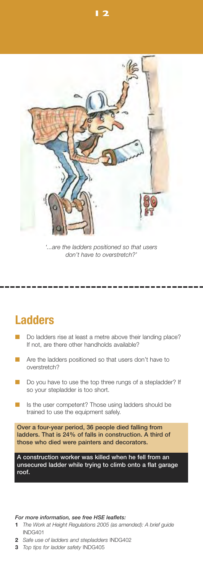

**12** 

*'...are the ladders positioned so that users don't have to overstretch?'*

#### **Ladders**

- Do ladders rise at least a metre above their landing place? If not, are there other handholds available?
- Are the ladders positioned so that users don't have to overstretch?
- Do you have to use the top three rungs of a stepladder? If so your stepladder is too short.
- Is the user competent? Those using ladders should be trained to use the equipment safely.

**Over** a four-year period, 36 people died falling from **ladders. That is 24% of falls in construction. A third of i** those who died were painters and decorators.

**A** construction worker was killed when he fell from an **l il i li unsecured adder wh e try ng to c mb onto a flat garage roof.**

#### *For more information, see free HSE leaflets:*

- **1** *The Work at Height Regulations 2005 (as amended): A brief guide* INDG401
- **2** *Safe use of ladders and stepladders* INDG402
- **3** *Top tips for ladder safety* INDG405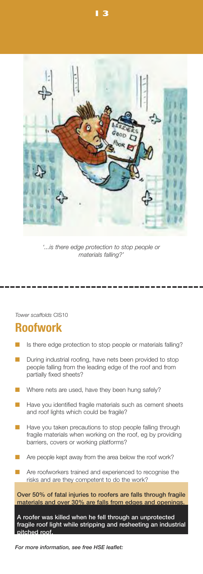

*'...is there edge protection to stop people or materials falling?'*

*Tower scaffolds* CIS10

### **Roofwork**

- Is there edge protection to stop people or materials falling?
- During industrial roofing, have nets been provided to stop people falling from the leading edge of the roof and from partially fixed sheets?
- Where nets are used, have they been hung safely?
- Have you identified fragile materials such as cement sheets and roof lights which could be fragile?
- Have you taken precautions to stop people falling through fragile materials when working on the roof, eg by providing barriers, covers or working platforms?
- Are people kept away from the area below the roof work?
- Are roofworkers trained and experienced to recognise the ri sks and are they competent to do the work?

**Over** 50% of fatal injuries to roofers are falls through fragile **i ll mater als and over 30% are fa s from edges and openings.**

**ill ll A roofer was k ed when he fe through an unprotected** fragile roof light while stripping and resheeting an industrial **pi tched roof.**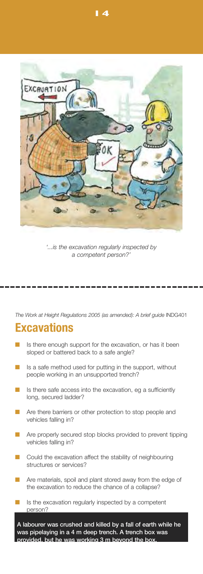

*'...is the excavation regularly inspected by a competent person?'*

*The Work at Height Regulations 2005 (as amended): A brief guide* INDG401

#### **Excavations**

- Is there enough support for the excavation, or has it been sloped or battered back to a safe angle?
- Is a safe method used for putting in the support, without people working in an unsupported trench?
- Is there safe access into the excavation, eg a sufficiently long, secured ladder?
- Are there barriers or other protection to stop people and vehicles falling in?
- Are properly secured stop blocks provided to prevent tipping vehicles falling in?
- Could the excavation affect the stability of neighbouring structures or services?
- Are materials, spoil and plant stored away from the edge of the excavation to reduce the chance of a collapse?
- Is the excavation regularly inspected by a competent person?

A labourer was crushed and killed by a fall of earth whil ipelaying i **i i prov ded, but he was work ng 3 m beyond the box.abourer was crushed and k ed by a fal of earth wh e he was p pe ay ng n a 4 m deep trench. A trench box was**

**14**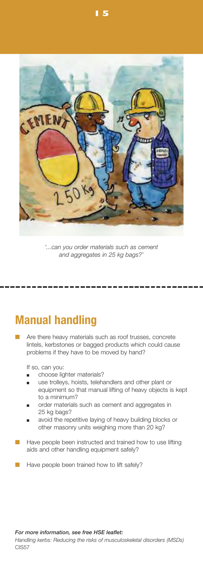

*'...can you order materials such as cement and aggregates in 25 kg bags?'*

#### **Manual handling**

Are there heavy materials such as roof trusses, concrete lintels, kerbstones or bagged products which could cause problems if they have to be moved by hand?

If so, can you:

- choose lighter materials?
- use trolleys, hoists, telehandlers and other plant or equipment so that manual lifting of heavy objects is kept to a minimum?
- order materials such as cement and aggregates in 25 kg bags?
- avoid the repetitive laying of heavy building blocks or other masonry units weighing more than 20 kg?
- Have people been instructed and trained how to use lifting aids and other handling equipment safely?
- Have people been trained how to lift safely?

*For more information, see free HSE leaflet:* 

*Handling kerbs: Reducing the risks of musculoskeletal disorders (MSDs)* CIS57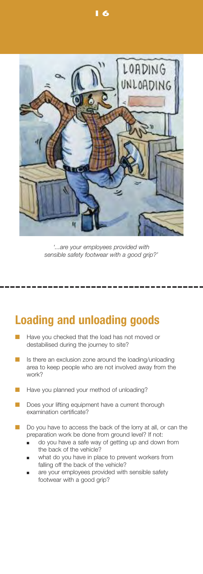

*'...are your employees provided with sensible safety footwear with a good grip?'*

#### **Loading and unloading goods**

- Have you checked that the load has not moved or destabilised during the journey to site?
- Is there an exclusion zone around the loading/unloading area to keep people who are not involved away from the work?
- Have you planned your method of unloading?
- Does your lifting equipment have a current thorough examination certificate?
- Do you have to access the back of the lorry at all, or can the preparation work be done from ground level? If not:
	- do you have a safe way of getting up and down from the back of the vehicle?
	- what do you have in place to prevent workers from falling off the back of the vehicle?
	- are your employees provided with sensible safety footwear with a good grip?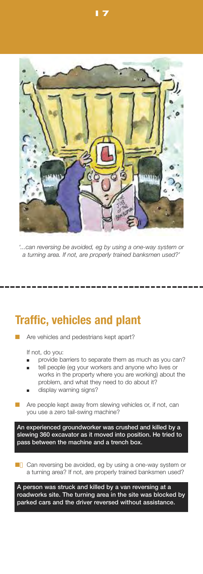

*'...can reversing be avoided, eg by using a oneway system or a turning area. If not, are properly trained banksmen used?'*

#### **Traffic, vehicles and plant**

Are vehicles and pedestrians kept apart?

If not, do you:

- provide barriers to separate them as much as you can?
- tell people (eg your workers and anyone who lives or works in the property where you are working) about the problem, and what they need to do about it?
- display warning signs?
- Are people kept away from slewing vehicles or, if not, can you use a zero tail-swing machine?

**i ill An exper enced groundworker was crushed and k ed by a sl i i i i ew ng 360 excavator as t moved nto posit on. He tried to i pass between the mach ne and a trench box.**

■ Can reversing be avoided, eg by using a one-way system or a turning area? If not, are properly trained banksmen used?

**A** person was struck and killed by a van reversing at a **i i i i l roadworks s te. The turn ng area n the s te was b ocked by jarked** cars and the driver reversed without assistance.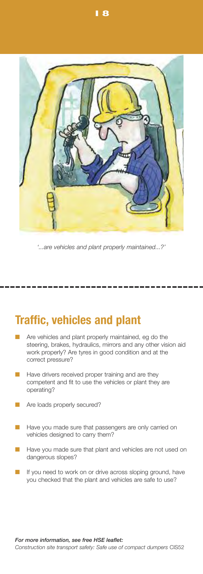

*'...are vehicles and plant properly maintained...?'*

#### **Traffic, vehicles and plant**

- Are vehicles and plant properly maintained, eg do the steering, brakes, hydraulics, mirrors and any other vision aid work properly? Are tyres in good condition and at the correct pressure?
- Have drivers received proper training and are they competent and fit to use the vehicles or plant they are operating?
- Are loads properly secured?
- Have you made sure that passengers are only carried on vehicles designed to carry them?
- Have you made sure that plant and vehicles are not used on dangerous slopes?
- If you need to work on or drive across sloping ground, have you checked that the plant and vehicles are safe to use?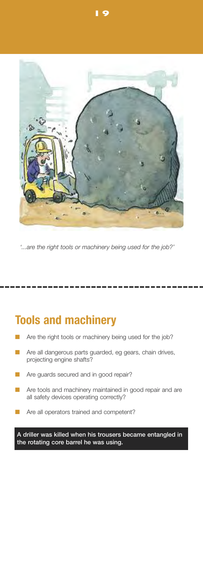

*'...are the right tools or machinery being used for the job?'*

### **Tools and machinery**

- Are the right tools or machinery being used for the job?
- Are all dangerous parts guarded, eg gears, chain drives, projecting engine shafts?
- Are guards secured and in good repair?
- Are tools and machinery maintained in good repair and are all safety devices operating correctly?
- Are all operators trained and competent?

**A** driller was killed when his trousers became entangled in **i** the rotating core barrel he was using.

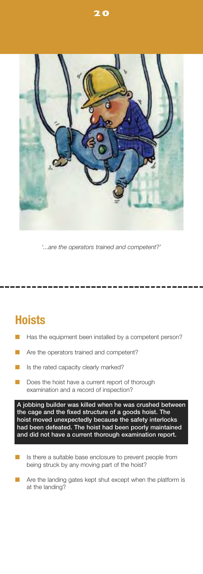

*'...are the operators trained and competent?'*

### **Hoists**

- Has the equipment been installed by a competent person?
- Are the operators trained and competent?
- Is the rated capacity clearly marked?
- Does the hoist have a current report of thorough examination and a record of inspection?

**A j i il ill obb ng bu der was k ed when he was crushed between i the cage and the fixed structure of a goods ho st. The hoist moved unexpectedly because the safety interlocks had been defeated. The hoist had been poorly maintained i i i and d d not have a current thorough exam nat on report.**

- Is there a suitable base enclosure to prevent people from being struck by any moving part of the hoist?
- Are the landing gates kept shut except when the platform is at the landing?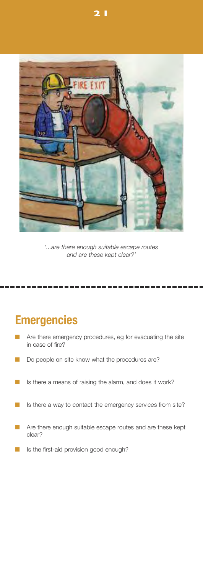

*'...are there enough suitable escape routes and are these kept clear?'*

### **Emergencies**

- Are there emergency procedures, eg for evacuating the site in case of fire?
- Do people on site know what the procedures are?
- Is there a means of raising the alarm, and does it work?
- Is there a way to contact the emergency services from site?
- Are there enough suitable escape routes and are these kept clear?
- Is the first-aid provision good enough?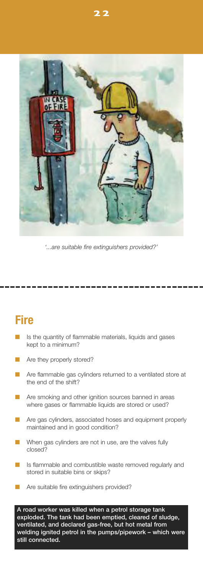

*'...are suitable fire extinguishers provided?'*

### **Fire**

- Is the quantity of flammable materials, liquids and gases kept to a minimum?
- Are they properly stored?
- Are flammable gas cylinders returned to a ventilated store at the end of the shift?
- Are smoking and other ignition sources banned in areas where gases or flammable liquids are stored or used?
- Are gas cylinders, associated hoses and equipment properly maintained and in good condition?
- When gas cylinders are not in use, are the valves fully closed?
- Is flammable and combustible waste removed regularly and stored in suitable bins or skips?
- Are suitable fire extinguishers provided?

**ill l A road worker was k ed when a petro storage tank l i l l exp oded. The tank had been empt ed, c eared of s udge, il l l vent ated, and dec ared gasfree, but hot meta from welding ignited petrol in the pumps/pipework – which were** still connected.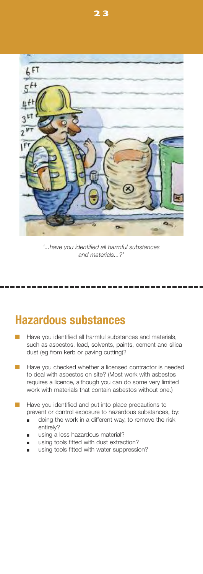

**23** 

*'...have you identified all harmful substances and materials...?'*

#### **Hazardous substances**

- Have you identified all harmful substances and materials, such as asbestos, lead, solvents, paints, cement and silica dust (eg from kerb or paving cutting)?
- Have you checked whether a licensed contractor is needed to deal with asbestos on site? (Most work with asbestos requires a licence, although you can do some very limited work with materials that contain asbestos without one.)
- Have you identified and put into place precautions to prevent or control exposure to hazardous substances, by:
	- doing the work in a different way, to remove the risk entirely?
	- using a less hazardous material?
	- using tools fitted with dust extraction?
	- using tools fitted with water suppression?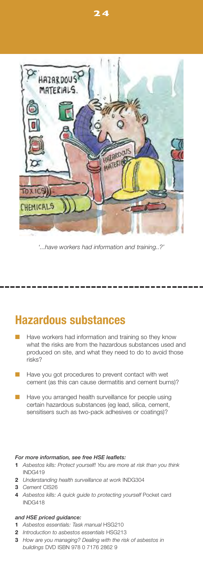

*'...have workers had information and training..?'*

#### **Hazardous substances**

- Have workers had information and training so they know what the risks are from the hazardous substances used and produced on site, and what they need to do to avoid those risks?
- Have you got procedures to prevent contact with wet cement (as this can cause dermatitis and cement burns)?
- Have you arranged health surveillance for people using certain hazardous substances (eg lead, silica, cement, sensitisers such as two-pack adhesives or coatings)?

#### *For more information, see free HSE leaflets:*

- **1** *Asbestos kills: Protect yourself! You are more at risk than you think* INDG419
- **2** *Understanding health surveillance at work* INDG304
- **3** *Cement* CIS26
- **4** *Asbestos kills: A quick guide to protecting yourself* Pocket card INDG418

#### *and HSE priced guidance:*

- **1** *Asbestos essentials: Task manual* HSG210
- **2** *Introduction to asbestos essentials* HSG213
- **3** *How are you managing? Dealing with the risk of asbestos in buildings* DVD ISBN 978 0 7176 2862 9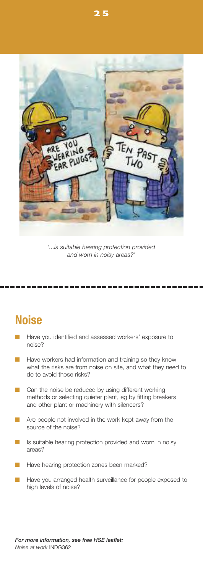

*'...is suitable hearing protection provided and worn in noisy areas?'*

### **Noise**

- Have you identified and assessed workers' exposure to noise?
- Have workers had information and training so they know what the risks are from noise on site, and what they need to do to avoid those risks?
- Can the noise be reduced by using different working methods or selecting quieter plant, eg by fitting breakers and other plant or machinery with silencers?
- Are people not involved in the work kept away from the source of the noise?
- Is suitable hearing protection provided and worn in noisy areas?
- Have hearing protection zones been marked?
- Have you arranged health surveillance for people exposed to high levels of noise?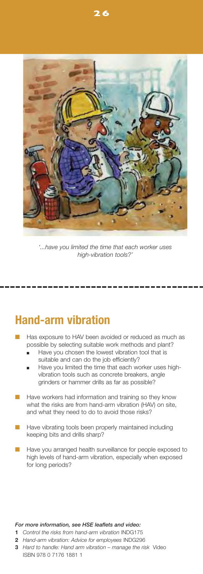

*'...have you limited the time that each worker uses high-vibration tools?'* 

#### **Hand-arm** vibration

- Has exposure to HAV been avoided or reduced as much as possible by selecting suitable work methods and plant?
	- Have you chosen the lowest vibration tool that is suitable and can do the job efficiently?
	- Have you limited the time that each worker uses highvibration tools such as concrete breakers, angle grinders or hammer drills as far as possible?
- Have workers had information and training so they know what the risks are from hand-arm vibration (HAV) on site, and what they need to do to avoid those risks?
- Have vibrating tools been properly maintained including keeping bits and drills sharp?
- Have you arranged health surveillance for people exposed to high levels of hand-arm vibration, especially when exposed for long periods?

#### *For more information, see HSE leaflets and video:*

- **1** Control the risks from hand-arm vibration INDG175
- **2** *Hand-arm vibration: Advice for employees* INDG296
- **3** *Hard to handle: Hand arm vibration – manage the risk* Video ISBN 978 0 7176 1881 1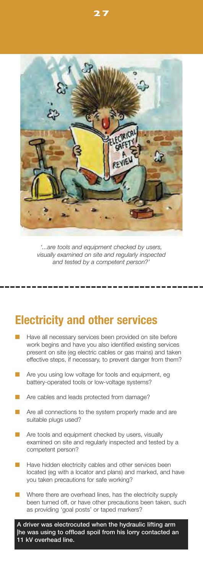

*'...are tools and equipment checked by users, visually examined on site and regularly inspected and tested by a competent person?'*

#### **Electricity and other services**

- Have all necessary services been provided on site before work begins and have you also identified existing services present on site (eg electric cables or gas mains) and taken effective steps, if necessary, to prevent danger from them?
- Are you using low voltage for tools and equipment, eg battery-operated tools or low-voltage systems?
- Are cables and leads protected from damage?
- Are all connections to the system properly made and are suitable plugs used?
- Are tools and equipment checked by users, visually examined on site and regularly inspected and tested by a competent person?
- Have hidden electricity cables and other services been located (eg with a locator and plans) and marked, and have you taken precautions for safe working?
- Where there are overhead lines, has the electricity supply been turned off, or have other precautions been taken, such as providing 'goal posts' or taped markers?

A driver was electrocuted when the hydraulic lifting arm **| i il is l he was us ng to offload spo from h orry contacted an li 11 kV overhead ne.**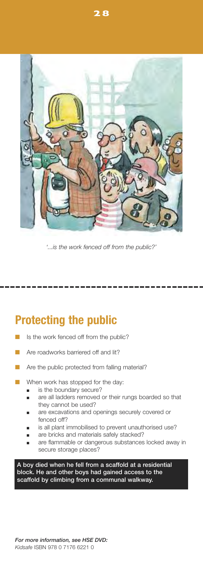

*'...is the work fenced off from the public?'*

### **Protecting the public**

- Is the work fenced off from the public?
- Are roadworks barriered off and lit?
- Are the public protected from falling material?
- When work has stopped for the day:
	- is the boundary secure?
	- are all ladders removed or their rungs boarded so that they cannot be used?
	- are excavations and openings securely covered or fenced off?
	- is all plant immobilised to prevent unauthorised use?
	- are bricks and materials safely stacked?
	- are flammable or dangerous substances locked away in secure storage places?

**i ll l i i A boy d ed when he fe from a scaffo d at a res dent al bl i ock. He and other boys had ga ned access to the l li i l scaffo d by c mb ng from a communal wa kway.**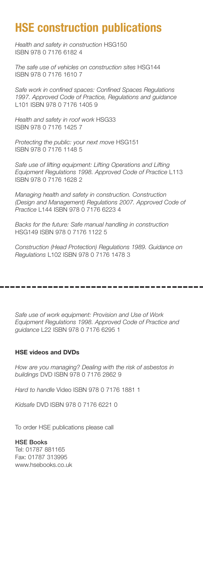### **HSE construction publications**

*Health and safety in construction* HSG150 ISBN 978 0 7176 6182 4

*The safe use of vehicles on construction sites* HSG144 ISBN 978 0 7176 1610 7

*Safe work in confined spaces: Confined Spaces Regulations 1997. Approved Code of Practice, Regulations and guidance* L101 ISBN 978 0 7176 1405 9

*Health and safety in roof work* HSG33 ISBN 978 0 7176 1425 7

*Protecting the public: your next move* HSG151 ISBN 978 0 7176 1148 5

*Safe use of lifting equipment: Lifting Operations and Lifting Equipment Regulations 1998. Approved Code of Practice* L113 ISBN 978 0 7176 1628 2

*Managing health and safety in construction. Construction (Design and Management) Regulations 2007. Approved Code of Practice* L144 ISBN 978 0 7176 6223 4

*Backs for the future: Safe manual handling in construction* HSG149 ISBN 978 0 7176 1122 5

*Construction (Head Protection) Regulations 1989. Guidance on Regulations* L102 ISBN 978 0 7176 1478 3

*Safe use of work equipment: Provision and Use of Work Equipment Regulations 1998. Approved Code of Practice and guidance* L22 ISBN 978 0 7176 6295 1

#### **HSE videos and DVDs**

*How are you managing? Dealing with the risk of asbestos in buildings* DVD ISBN 978 0 7176 2862 9

*Hard to handle* Video ISBN 978 0 7176 1881 1

*Kidsafe* DVD ISBN 978 0 7176 6221 0

To order HSE publications please call

#### **HSE Books**

Tel: 01787 881165 Fax: 01787 313995 www.hsebooks.co.uk